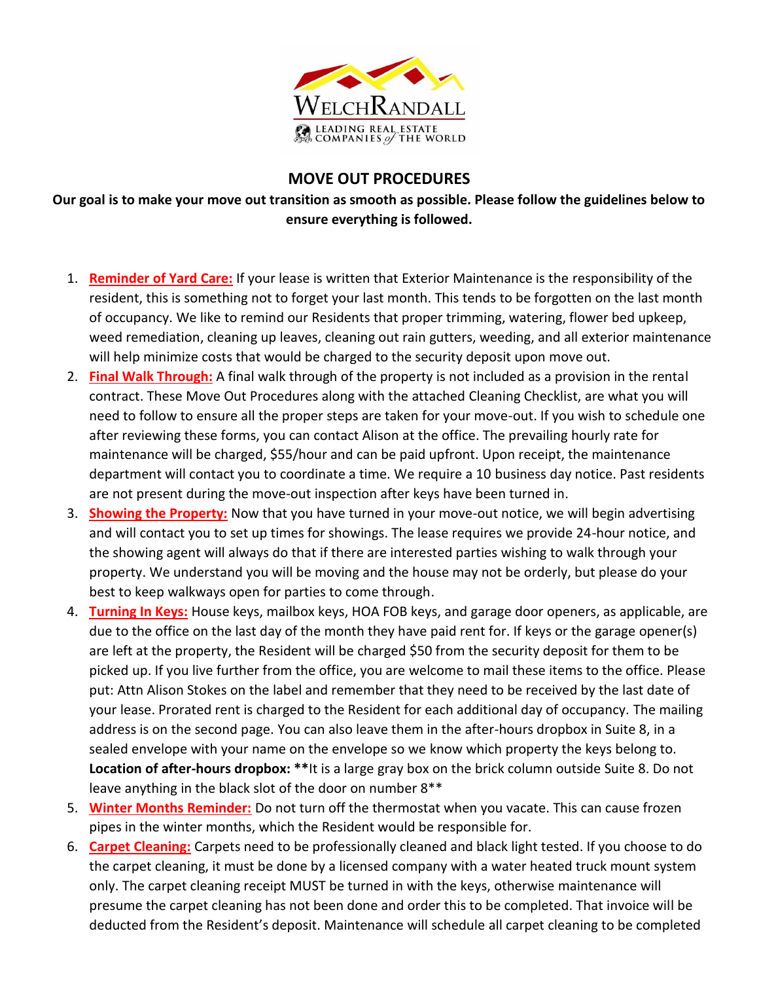

## **MOVE OUT PROCEDURES**

**Our goal is to make your move out transition as smooth as possible. Please follow the guidelines below to ensure everything is followed.**

- 1. **Reminder of Yard Care:** If your lease is written that Exterior Maintenance is the responsibility of the resident, this is something not to forget your last month. This tends to be forgotten on the last month of occupancy. We like to remind our Residents that proper trimming, watering, flower bed upkeep, weed remediation, cleaning up leaves, cleaning out rain gutters, weeding, and all exterior maintenance will help minimize costs that would be charged to the security deposit upon move out.
- 2. **Final Walk Through:** A final walk through of the property is not included as a provision in the rental contract. These Move Out Procedures along with the attached Cleaning Checklist, are what you will need to follow to ensure all the proper steps are taken for your move-out. If you wish to schedule one after reviewing these forms, you can contact Alison at the office. The prevailing hourly rate for maintenance will be charged, \$55/hour and can be paid upfront. Upon receipt, the maintenance department will contact you to coordinate a time. We require a 10 business day notice. Past residents are not present during the move-out inspection after keys have been turned in.
- 3. **Showing the Property:** Now that you have turned in your move-out notice, we will begin advertising and will contact you to set up times for showings. The lease requires we provide 24-hour notice, and the showing agent will always do that if there are interested parties wishing to walk through your property. We understand you will be moving and the house may not be orderly, but please do your best to keep walkways open for parties to come through.
- 4. **Turning In Keys:** House keys, mailbox keys, HOA FOB keys, and garage door openers, as applicable, are due to the office on the last day of the month they have paid rent for. If keys or the garage opener(s) are left at the property, the Resident will be charged \$50 from the security deposit for them to be picked up. If you live further from the office, you are welcome to mail these items to the office. Please put: Attn Alison Stokes on the label and remember that they need to be received by the last date of your lease. Prorated rent is charged to the Resident for each additional day of occupancy. The mailing address is on the second page. You can also leave them in the after-hours dropbox in Suite 8, in a sealed envelope with your name on the envelope so we know which property the keys belong to. **Location of after-hours dropbox: \*\***It is a large gray box on the brick column outside Suite 8. Do not leave anything in the black slot of the door on number 8\*\*
- 5. **Winter Months Reminder:** Do not turn off the thermostat when you vacate. This can cause frozen pipes in the winter months, which the Resident would be responsible for.
- 6. **Carpet Cleaning:** Carpets need to be professionally cleaned and black light tested. If you choose to do the carpet cleaning, it must be done by a licensed company with a water heated truck mount system only. The carpet cleaning receipt MUST be turned in with the keys, otherwise maintenance will presume the carpet cleaning has not been done and order this to be completed. That invoice will be deducted from the Resident's deposit. Maintenance will schedule all carpet cleaning to be completed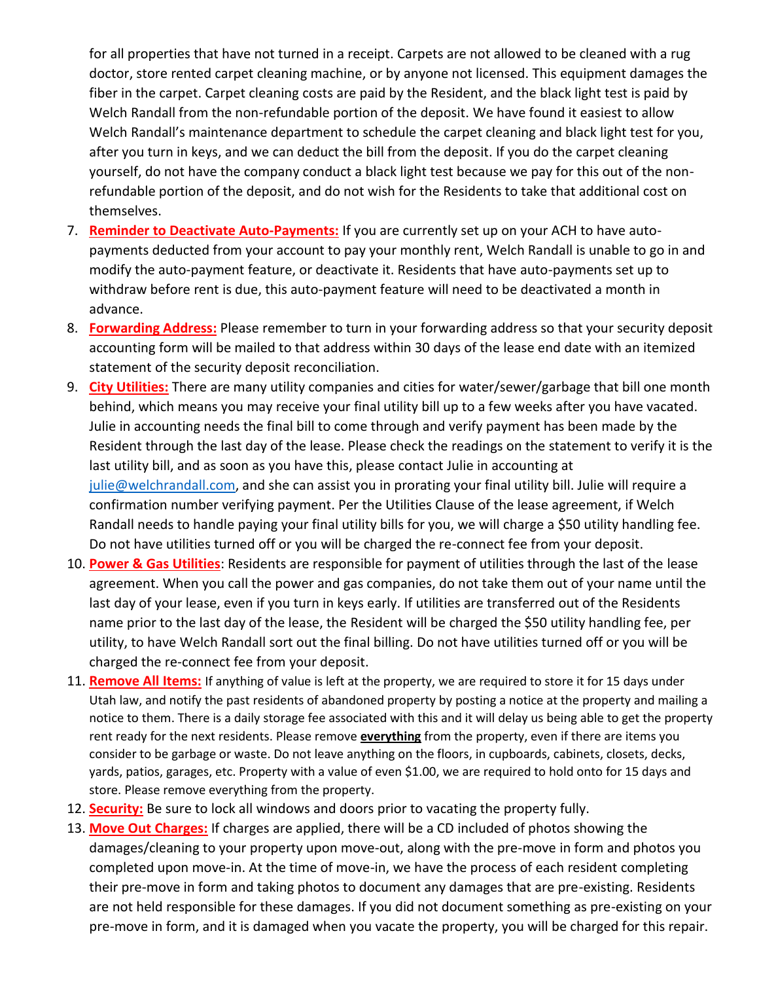for all properties that have not turned in a receipt. Carpets are not allowed to be cleaned with a rug doctor, store rented carpet cleaning machine, or by anyone not licensed. This equipment damages the fiber in the carpet. Carpet cleaning costs are paid by the Resident, and the black light test is paid by Welch Randall from the non-refundable portion of the deposit. We have found it easiest to allow Welch Randall's maintenance department to schedule the carpet cleaning and black light test for you, after you turn in keys, and we can deduct the bill from the deposit. If you do the carpet cleaning yourself, do not have the company conduct a black light test because we pay for this out of the nonrefundable portion of the deposit, and do not wish for the Residents to take that additional cost on themselves.

- 7. **Reminder to Deactivate Auto-Payments:** If you are currently set up on your ACH to have autopayments deducted from your account to pay your monthly rent, Welch Randall is unable to go in and modify the auto-payment feature, or deactivate it. Residents that have auto-payments set up to withdraw before rent is due, this auto-payment feature will need to be deactivated a month in advance.
- 8. **Forwarding Address:** Please remember to turn in your forwarding address so that your security deposit accounting form will be mailed to that address within 30 days of the lease end date with an itemized statement of the security deposit reconciliation.
- 9. **City Utilities:** There are many utility companies and cities for water/sewer/garbage that bill one month behind, which means you may receive your final utility bill up to a few weeks after you have vacated. Julie in accounting needs the final bill to come through and verify payment has been made by the Resident through the last day of the lease. Please check the readings on the statement to verify it is the last utility bill, and as soon as you have this, please contact Julie in accounting at [julie@welchrandall.com,](mailto:julie@welchrandall.com) and she can assist you in prorating your final utility bill. Julie will require a confirmation number verifying payment. Per the Utilities Clause of the lease agreement, if Welch Randall needs to handle paying your final utility bills for you, we will charge a \$50 utility handling fee. Do not have utilities turned off or you will be charged the re-connect fee from your deposit.
- 10. **Power & Gas Utilities**: Residents are responsible for payment of utilities through the last of the lease agreement. When you call the power and gas companies, do not take them out of your name until the last day of your lease, even if you turn in keys early. If utilities are transferred out of the Residents name prior to the last day of the lease, the Resident will be charged the \$50 utility handling fee, per utility, to have Welch Randall sort out the final billing. Do not have utilities turned off or you will be charged the re-connect fee from your deposit.
- 11. **Remove All Items:** If anything of value is left at the property, we are required to store it for 15 days under Utah law, and notify the past residents of abandoned property by posting a notice at the property and mailing a notice to them. There is a daily storage fee associated with this and it will delay us being able to get the property rent ready for the next residents. Please remove **everything** from the property, even if there are items you consider to be garbage or waste. Do not leave anything on the floors, in cupboards, cabinets, closets, decks, yards, patios, garages, etc. Property with a value of even \$1.00, we are required to hold onto for 15 days and store. Please remove everything from the property.
- 12. **Security:** Be sure to lock all windows and doors prior to vacating the property fully.
- 13. **Move Out Charges:** If charges are applied, there will be a CD included of photos showing the damages/cleaning to your property upon move-out, along with the pre-move in form and photos you completed upon move-in. At the time of move-in, we have the process of each resident completing their pre-move in form and taking photos to document any damages that are pre-existing. Residents are not held responsible for these damages. If you did not document something as pre-existing on your pre-move in form, and it is damaged when you vacate the property, you will be charged for this repair.